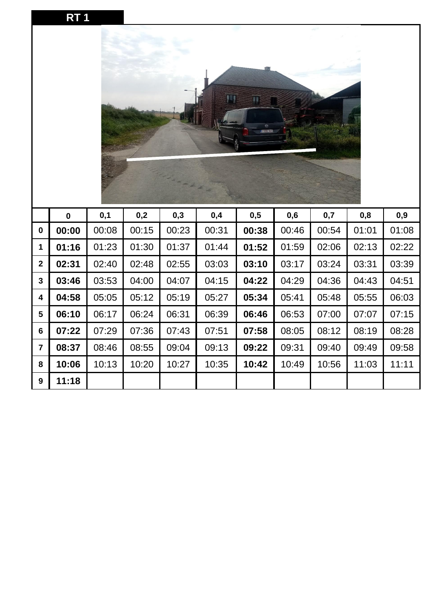|--|

|                  |             |       |       |       |       | 打<br>.<br>Angelsk |       |       |       |       |
|------------------|-------------|-------|-------|-------|-------|-------------------|-------|-------|-------|-------|
|                  | $\mathbf 0$ | 0,1   | 0,2   | 0,3   | 0,4   | 0,5               | 0,6   | 0,7   | 0,8   | 0,9   |
| $\pmb{0}$        | 00:00       | 00:08 | 00:15 | 00:23 | 00:31 | 00:38             | 00:46 | 00:54 | 01:01 | 01:08 |
| 1                | 01:16       | 01:23 | 01:30 | 01:37 | 01:44 | 01:52             | 01:59 | 02:06 | 02:13 | 02:22 |
| $\mathbf{2}$     | 02:31       | 02:40 | 02:48 | 02:55 | 03:03 | 03:10             | 03:17 | 03:24 | 03:31 | 03:39 |
| 3                | 03:46       | 03:53 | 04:00 | 04:07 | 04:15 | 04:22             | 04:29 | 04:36 | 04:43 | 04:51 |
| 4                | 04:58       | 05:05 | 05:12 | 05:19 | 05:27 | 05:34             | 05:41 | 05:48 | 05:55 | 06:03 |
| 5                | 06:10       | 06:17 | 06:24 | 06:31 | 06:39 | 06:46             | 06:53 | 07:00 | 07:07 | 07:15 |
| $6\phantom{1}$   | 07:22       | 07:29 | 07:36 | 07:43 | 07:51 | 07:58             | 08:05 | 08:12 | 08:19 | 08:28 |
| $\overline{7}$   | 08:37       | 08:46 | 08:55 | 09:04 | 09:13 | 09:22             | 09:31 | 09:40 | 09:49 | 09:58 |
| 8                | 10:06       | 10:13 | 10:20 | 10:27 | 10:35 | 10:42             | 10:49 | 10:56 | 11:03 | 11:11 |
| $\boldsymbol{9}$ | 11:18       |       |       |       |       |                   |       |       |       |       |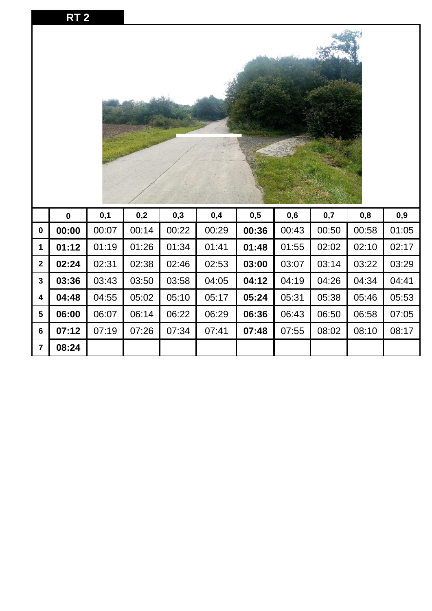|                  | <b>RT2</b> |       |       |       |       |       |       |       |       |       |
|------------------|------------|-------|-------|-------|-------|-------|-------|-------|-------|-------|
|                  |            |       |       |       |       |       |       |       |       |       |
|                  | $\pmb{0}$  | 0,1   | 0,2   | 0,3   | 0,4   | 0,5   | 0,6   | 0,7   | 0,8   | 0,9   |
| $\boldsymbol{0}$ | 00:00      | 00:07 | 00:14 | 00:22 | 00:29 | 00:36 | 00:43 | 00:50 | 00:58 | 01:05 |
| 1                | 01:12      | 01:19 | 01:26 | 01:34 | 01:41 | 01:48 | 01:55 | 02:02 | 02:10 | 02:17 |
| $\mathbf{2}$     | 02:24      | 02:31 | 02:38 | 02:46 | 02:53 | 03:00 | 03:07 | 03:14 | 03:22 | 03:29 |
| $\mathbf{3}$     | 03:36      | 03:43 | 03:50 | 03:58 | 04:05 | 04:12 | 04:19 | 04:26 | 04:34 | 04:41 |
| 4                | 04:48      | 04:55 | 05:02 | 05:10 | 05:17 | 05:24 | 05:31 | 05:38 | 05:46 | 05:53 |
| 5                | 06:00      | 06:07 | 06:14 | 06:22 | 06:29 | 06:36 | 06:43 | 06:50 | 06:58 | 07:05 |
| $\bf 6$          | 07:12      | 07:19 | 07:26 | 07:34 | 07:41 | 07:48 | 07:55 | 08:02 | 08:10 | 08:17 |
| $\overline{7}$   | 08:24      |       |       |       |       |       |       |       |       |       |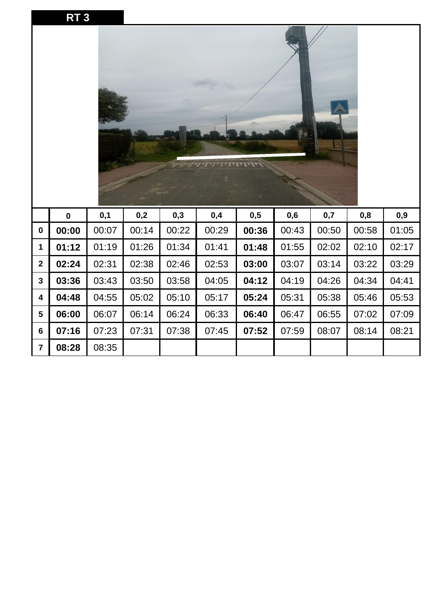|                         | RT <sub>3</sub> |       |       |       |       |       |       |       |       |       |
|-------------------------|-----------------|-------|-------|-------|-------|-------|-------|-------|-------|-------|
|                         |                 |       |       |       |       |       |       |       |       |       |
|                         | $\mathbf 0$     | 0,1   | 0,2   | 0,3   | 0,4   | 0,5   | 0,6   | 0,7   | 0,8   | 0,9   |
| $\mathbf 0$             | 00:00           | 00:07 | 00:14 | 00:22 | 00:29 | 00:36 | 00:43 | 00:50 | 00:58 | 01:05 |
| $\mathbf 1$             | 01:12           | 01:19 | 01:26 | 01:34 | 01:41 | 01:48 | 01:55 | 02:02 | 02:10 | 02:17 |
| $\overline{2}$          | 02:24           | 02:31 | 02:38 | 02:46 | 02:53 | 03:00 | 03:07 | 03:14 | 03:22 | 03:29 |
| $\mathbf{3}$            | 03:36           | 03:43 | 03:50 | 03:58 | 04:05 | 04:12 | 04:19 | 04:26 | 04:34 | 04:41 |
| $\overline{\mathbf{4}}$ | 04:48           | 04:55 | 05:02 | 05:10 | 05:17 | 05:24 | 05:31 | 05:38 | 05:46 | 05:53 |
| 5                       | 06:00           | 06:07 | 06:14 | 06:24 | 06:33 | 06:40 | 06:47 | 06:55 | 07:02 | 07:09 |
| $6\phantom{1}$          | 07:16           | 07:23 | 07:31 | 07:38 | 07:45 | 07:52 | 07:59 | 08:07 | 08:14 | 08:21 |
| $\overline{7}$          | 08:28           | 08:35 |       |       |       |       |       |       |       |       |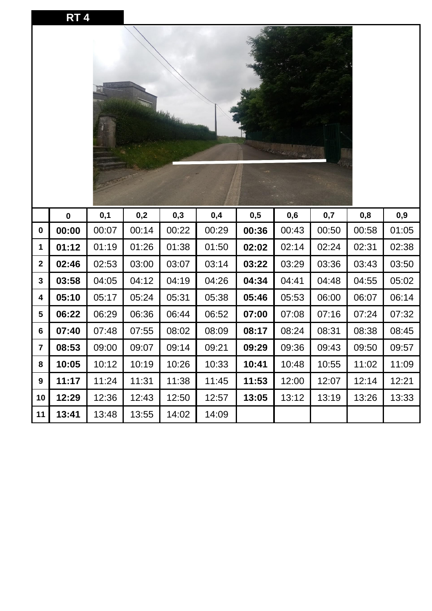|                         | <b>RT4</b> |       |       |       |       |       |       |       |       |       |
|-------------------------|------------|-------|-------|-------|-------|-------|-------|-------|-------|-------|
|                         |            |       |       |       |       |       |       |       |       |       |
|                         | $\pmb{0}$  | 0,1   | 0,2   | 0,3   | 0,4   | 0,5   | 0,6   | 0,7   | 0,8   | 0,9   |
| $\boldsymbol{0}$        | 00:00      | 00:07 | 00:14 | 00:22 | 00:29 | 00:36 | 00:43 | 00:50 | 00:58 | 01:05 |
| 1                       | 01:12      | 01:19 | 01:26 | 01:38 | 01:50 | 02:02 | 02:14 | 02:24 | 02:31 | 02:38 |
| $\mathbf{2}$            | 02:46      | 02:53 | 03:00 | 03:07 | 03:14 | 03:22 | 03:29 | 03:36 | 03:43 | 03:50 |
| 3                       | 03:58      | 04:05 | 04:12 | 04:19 | 04:26 | 04:34 | 04:41 | 04:48 | 04:55 | 05:02 |
| 4                       | 05:10      | 05:17 | 05:24 | 05:31 | 05:38 | 05:46 | 05:53 | 06:00 | 06:07 | 06:14 |
| 5                       | 06:22      | 06:29 | 06:36 | 06:44 | 06:52 | 07:00 | 07:08 | 07:16 | 07:24 | 07:32 |
| 6                       | 07:40      | 07:48 | 07:55 | 08:02 | 08:09 | 08:17 | 08:24 | 08:31 | 08:38 | 08:45 |
| $\overline{\mathbf{7}}$ | 08:53      | 09:00 | 09:07 | 09:14 | 09:21 | 09:29 | 09:36 | 09:43 | 09:50 | 09:57 |
| 8                       | 10:05      | 10:12 | 10:19 | 10:26 | 10:33 | 10:41 | 10:48 | 10:55 | 11:02 | 11:09 |
| 9                       | 11:17      | 11:24 | 11:31 | 11:38 | 11:45 | 11:53 | 12:00 | 12:07 | 12:14 | 12:21 |
| 10                      | 12:29      | 12:36 | 12:43 | 12:50 | 12:57 | 13:05 | 13:12 | 13:19 | 13:26 | 13:33 |
| 11                      | 13:41      | 13:48 | 13:55 | 14:02 | 14:09 |       |       |       |       |       |